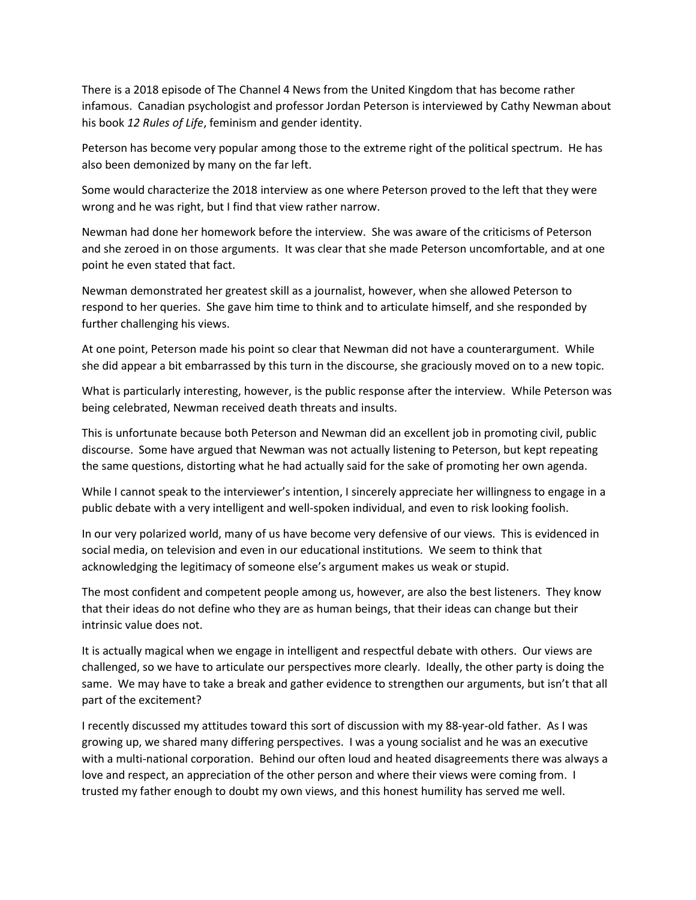There is a 2018 episode of The Channel 4 News from the United Kingdom that has become rather infamous. Canadian psychologist and professor Jordan Peterson is interviewed by Cathy Newman about his book 12 Rules of Life, feminism and gender identity.

Peterson has become very popular among those to the extreme right of the political spectrum. He has also been demonized by many on the far left.

Some would characterize the 2018 interview as one where Peterson proved to the left that they were wrong and he was right, but I find that view rather narrow.

Newman had done her homework before the interview. She was aware of the criticisms of Peterson and she zeroed in on those arguments. It was clear that she made Peterson uncomfortable, and at one point he even stated that fact.

Newman demonstrated her greatest skill as a journalist, however, when she allowed Peterson to respond to her queries. She gave him time to think and to articulate himself, and she responded by further challenging his views.

At one point, Peterson made his point so clear that Newman did not have a counterargument. While she did appear a bit embarrassed by this turn in the discourse, she graciously moved on to a new topic.

What is particularly interesting, however, is the public response after the interview. While Peterson was being celebrated, Newman received death threats and insults.

This is unfortunate because both Peterson and Newman did an excellent job in promoting civil, public discourse. Some have argued that Newman was not actually listening to Peterson, but kept repeating the same questions, distorting what he had actually said for the sake of promoting her own agenda.

While I cannot speak to the interviewer's intention, I sincerely appreciate her willingness to engage in a public debate with a very intelligent and well-spoken individual, and even to risk looking foolish.

In our very polarized world, many of us have become very defensive of our views. This is evidenced in social media, on television and even in our educational institutions. We seem to think that acknowledging the legitimacy of someone else's argument makes us weak or stupid.

The most confident and competent people among us, however, are also the best listeners. They know that their ideas do not define who they are as human beings, that their ideas can change but their intrinsic value does not.

It is actually magical when we engage in intelligent and respectful debate with others. Our views are challenged, so we have to articulate our perspectives more clearly. Ideally, the other party is doing the same. We may have to take a break and gather evidence to strengthen our arguments, but isn't that all part of the excitement?

I recently discussed my attitudes toward this sort of discussion with my 88-year-old father. As I was growing up, we shared many differing perspectives. I was a young socialist and he was an executive with a multi-national corporation. Behind our often loud and heated disagreements there was always a love and respect, an appreciation of the other person and where their views were coming from. I trusted my father enough to doubt my own views, and this honest humility has served me well.